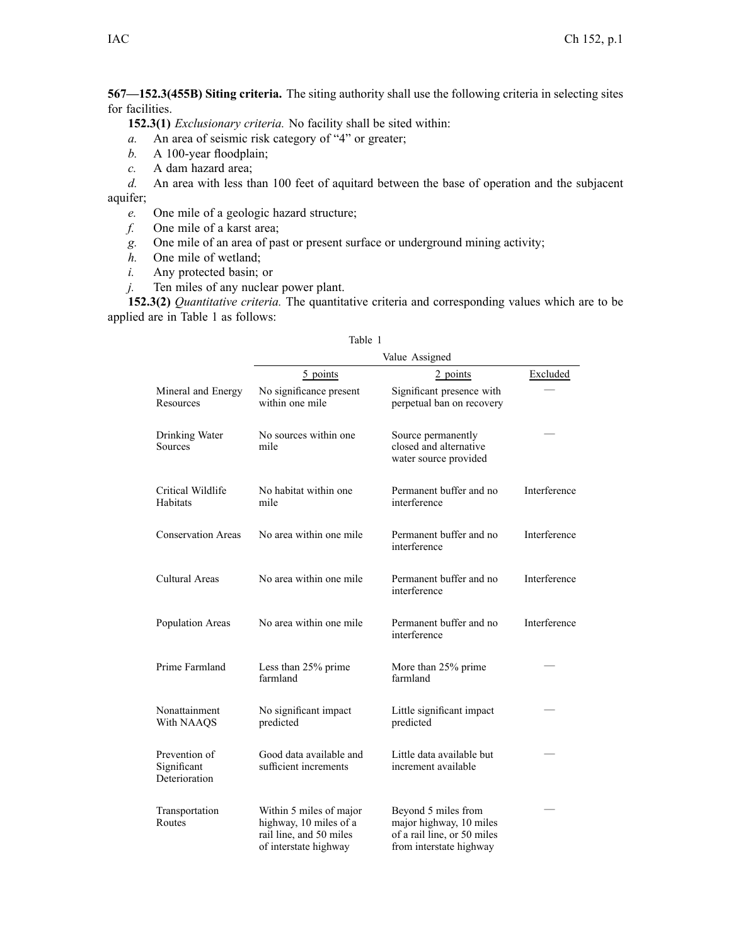**567—152.3(455B) Siting criteria.** The siting authority shall use the following criteria in selecting sites for facilities.

**152.3(1)** *Exclusionary criteria.* No facility shall be sited within:

- *a.* An area of seismic risk category of "4" or greater;
- *b.* A 100-year floodplain;
- *c.* A dam hazard area;
- *d.* An area with less than 100 feet of aquitard between the base of operation and the subjacent aquifer;
	- *e.* One mile of <sup>a</sup> geologic hazard structure;
	- *f.* One mile of <sup>a</sup> karst area;
	- *g.* One mile of an area of pas<sup>t</sup> or presen<sup>t</sup> surface or underground mining activity;
	- *h.* One mile of wetland;
	- *i.* Any protected basin; or
	- *j.* Ten miles of any nuclear power plant.

**152.3(2)** *Quantitative criteria.* The quantitative criteria and corresponding values which are to be applied are in Table 1 as follows:

|                                               | Value Assigned                                                                                        |                                                                                                          |              |  |
|-----------------------------------------------|-------------------------------------------------------------------------------------------------------|----------------------------------------------------------------------------------------------------------|--------------|--|
|                                               | 5 points                                                                                              | 2 points                                                                                                 | Excluded     |  |
| Mineral and Energy<br>Resources               | No significance present<br>within one mile                                                            | Significant presence with<br>perpetual ban on recovery                                                   |              |  |
| Drinking Water<br>Sources                     | No sources within one<br>mile                                                                         | Source permanently<br>closed and alternative<br>water source provided                                    |              |  |
| Critical Wildlife<br>Habitats                 | No habitat within one<br>mile                                                                         | Permanent buffer and no<br>interference                                                                  | Interference |  |
| <b>Conservation Areas</b>                     | No area within one mile                                                                               | Permanent buffer and no<br>interference                                                                  | Interference |  |
| <b>Cultural Areas</b>                         | No area within one mile                                                                               | Permanent buffer and no<br>interference                                                                  | Interference |  |
| Population Areas                              | No area within one mile                                                                               | Permanent buffer and no<br>interference                                                                  | Interference |  |
| Prime Farmland                                | Less than 25% prime<br>farmland                                                                       | More than 25% prime<br>farmland                                                                          |              |  |
| Nonattainment<br>With NAAQS                   | No significant impact<br>predicted                                                                    | Little significant impact<br>predicted                                                                   |              |  |
| Prevention of<br>Significant<br>Deterioration | Good data available and<br>sufficient increments                                                      | Little data available but<br>increment available                                                         |              |  |
| Transportation<br>Routes                      | Within 5 miles of major<br>highway, 10 miles of a<br>rail line, and 50 miles<br>of interstate highway | Beyond 5 miles from<br>major highway, 10 miles<br>of a rail line, or 50 miles<br>from interstate highway |              |  |